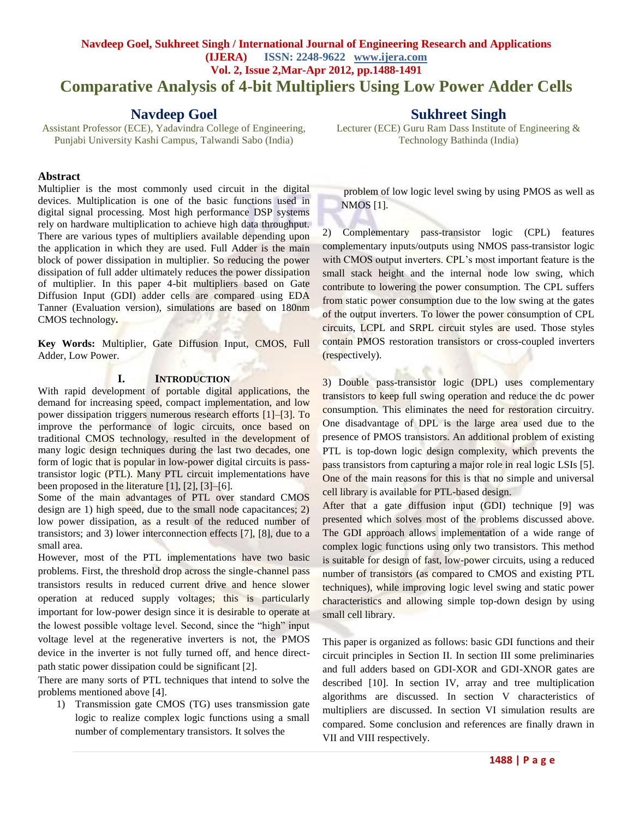# **Navdeep Goel, Sukhreet Singh / International Journal of Engineering Research and Applications (IJERA) ISSN: 2248-9622 www.ijera.com Vol. 2, Issue 2,Mar-Apr 2012, pp.1488-1491 Comparative Analysis of 4-bit Multipliers Using Low Power Adder Cells**

# **Navdeep Goel**

Assistant Professor (ECE), Yadavindra College of Engineering, Punjabi University Kashi Campus, Talwandi Sabo (India)

#### **Abstract**

Multiplier is the most commonly used circuit in the digital devices. Multiplication is one of the basic functions used in digital signal processing. Most high performance DSP systems rely on hardware multiplication to achieve high data throughput. There are various types of multipliers available depending upon the application in which they are used. Full Adder is the main block of power dissipation in multiplier. So reducing the power dissipation of full adder ultimately reduces the power dissipation of multiplier. In this paper 4-bit multipliers based on Gate Diffusion Input (GDI) adder cells are compared using EDA Tanner (Evaluation version), simulations are based on 180nm CMOS technology**.**

**Key Words:** Multiplier, Gate Diffusion Input, CMOS, Full Adder, Low Power.

#### **I. INTRODUCTION**

With rapid development of portable digital applications, the demand for increasing speed, compact implementation, and low power dissipation triggers numerous research efforts [1]–[3]. To improve the performance of logic circuits, once based on traditional CMOS technology, resulted in the development of many logic design techniques during the last two decades, one form of logic that is popular in low-power digital circuits is passtransistor logic (PTL). Many PTL circuit implementations have been proposed in the literature [1], [2], [3]–[6].

Some of the main advantages of PTL over standard CMOS design are 1) high speed, due to the small node capacitances; 2) low power dissipation, as a result of the reduced number of transistors; and 3) lower interconnection effects [7], [8], due to a small area.

However, most of the PTL implementations have two basic problems. First, the threshold drop across the single-channel pass transistors results in reduced current drive and hence slower operation at reduced supply voltages; this is particularly important for low-power design since it is desirable to operate at the lowest possible voltage level. Second, since the "high" input voltage level at the regenerative inverters is not, the PMOS device in the inverter is not fully turned off, and hence directpath static power dissipation could be significant [2].

There are many sorts of PTL techniques that intend to solve the problems mentioned above [4].

1) Transmission gate CMOS (TG) uses transmission gate logic to realize complex logic functions using a small number of complementary transistors. It solves the

# **Sukhreet Singh**

Lecturer (ECE) [Guru Ram Dass Institute of Engineering &](http://www.highereducationinindia.com/institutes/guru-ram-dass-institute-of-engineering--1695.php)  [Technology](http://www.highereducationinindia.com/institutes/guru-ram-dass-institute-of-engineering--1695.php) Bathinda (India)

problem of low logic level swing by using PMOS as well as NMOS [1].

2) Complementary pass-transistor logic (CPL) features complementary inputs/outputs using NMOS pass-transistor logic with CMOS output inverters. CPL's most important feature is the small stack height and the internal node low swing, which contribute to lowering the power consumption. The CPL suffers from static power consumption due to the low swing at the gates of the output inverters. To lower the power consumption of CPL circuits, LCPL and SRPL circuit styles are used. Those styles contain PMOS restoration transistors or cross-coupled inverters (respectively).

3) Double pass-transistor logic (DPL) uses complementary transistors to keep full swing operation and reduce the dc power consumption. This eliminates the need for restoration circuitry. One disadvantage of DPL is the large area used due to the presence of PMOS transistors. An additional problem of existing PTL is top-down logic design complexity, which prevents the pass transistors from capturing a major role in real logic LSIs [5]. One of the main reasons for this is that no simple and universal cell library is available for PTL-based design.

en a

After that a gate diffusion input (GDI) technique [9] was presented which solves most of the problems discussed above. The GDI approach allows implementation of a wide range of complex logic functions using only two transistors. This method is suitable for design of fast, low-power circuits, using a reduced number of transistors (as compared to CMOS and existing PTL techniques), while improving logic level swing and static power characteristics and allowing simple top-down design by using small cell library.

This paper is organized as follows: basic GDI functions and their circuit principles in Section II. In section III some preliminaries and full adders based on GDI-XOR and GDI-XNOR gates are described [10]. In section IV, array and tree multiplication algorithms are discussed. In section V characteristics of multipliers are discussed. In section VI simulation results are compared. Some conclusion and references are finally drawn in VII and VIII respectively.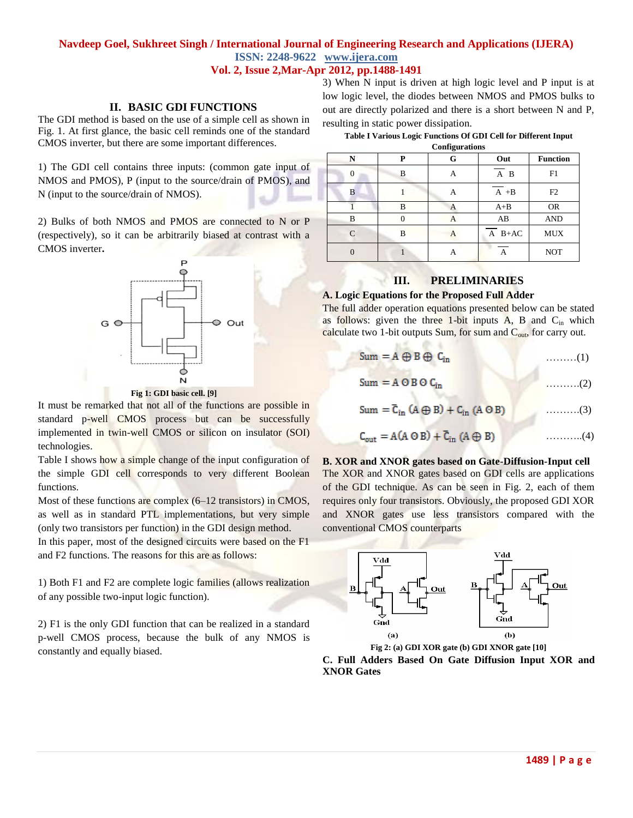### **II. BASIC GDI FUNCTIONS**

The GDI method is based on the use of a simple cell as shown in Fig. 1. At first glance, the basic cell reminds one of the standard CMOS inverter, but there are some important differences.

1) The GDI cell contains three inputs: (common gate input of NMOS and PMOS), P (input to the source/drain of PMOS), and N (input to the source/drain of NMOS).

2) Bulks of both NMOS and PMOS are connected to N or P (respectively), so it can be arbitrarily biased at contrast with a CMOS inverter**.**



**Fig 1: GDI basic cell. [9]**

It must be remarked that not all of the functions are possible in standard p-well CMOS process but can be successfully implemented in twin-well CMOS or silicon on insulator (SOI) technologies.

Table I shows how a simple change of the input configuration of the simple GDI cell corresponds to very different Boolean functions.

Most of these functions are complex (6–12 transistors) in CMOS, as well as in standard PTL implementations, but very simple (only two transistors per function) in the GDI design method.

In this paper, most of the designed circuits were based on the F1 and F2 functions. The reasons for this are as follows:

1) Both F1 and F2 are complete logic families (allows realization of any possible two-input logic function).

2) F1 is the only GDI function that can be realized in a standard p-well CMOS process, because the bulk of any NMOS is constantly and equally biased.

3) When N input is driven at high logic level and P input is at low logic level, the diodes between NMOS and PMOS bulks to out are directly polarized and there is a short between N and P, resulting in static power dissipation.

| Table I Various Logic Functions Of GDI Cell for Different Input |  |
|-----------------------------------------------------------------|--|
|-----------------------------------------------------------------|--|

|   | <b>Configurations</b> |   |                   |                 |  |
|---|-----------------------|---|-------------------|-----------------|--|
| N | P                     | G | Out               | <b>Function</b> |  |
| 0 | B                     | А | $\overline{A}$ B  | F1              |  |
| B |                       | А | $\overline{A}$ +B | F2              |  |
|   | B                     | А | $A + B$           | <b>OR</b>       |  |
| B | C                     | А | AB                | <b>AND</b>      |  |
|   | B                     | А | $A$ B+AC          | <b>MUX</b>      |  |
|   |                       | А |                   | <b>NOT</b>      |  |

## **III. PRELIMINARIES**

# **A. Logic Equations for the Proposed Full Adder**

The full adder operation equations presented below can be stated as follows: given the three 1-bit inputs  $A$ ,  $B$  and  $C_{in}$  which calculate two 1-bit outputs  $Sum$ , for sum and  $C<sub>out</sub>$ , for carry out.

| $Sum = A \oplus B \oplus C_{in}$ |  |
|----------------------------------|--|
|                                  |  |

$$
Sum = A \cup B \cup C_{in}
$$
 (2)

$$
Sum = \overline{C}_{in} (A \oplus B) + C_{in} (A \odot B) \qquad \qquad \dots \dots \dots (3)
$$

$$
C_{\text{out}} = A(A \odot B) + \overline{C}_{\text{in}} (A \oplus B) \tag{4}
$$

**B. XOR and XNOR gates based on Gate-Diffusion-Input cell** The XOR and XNOR gates based on GDI cells are applications of the GDI technique. As can be seen in Fig. 2, each of them requires only four transistors. Obviously, the proposed GDI XOR and XNOR gates use less transistors compared with the conventional CMOS counterparts



**C. Full Adders Based On Gate Diffusion Input XOR and XNOR Gates**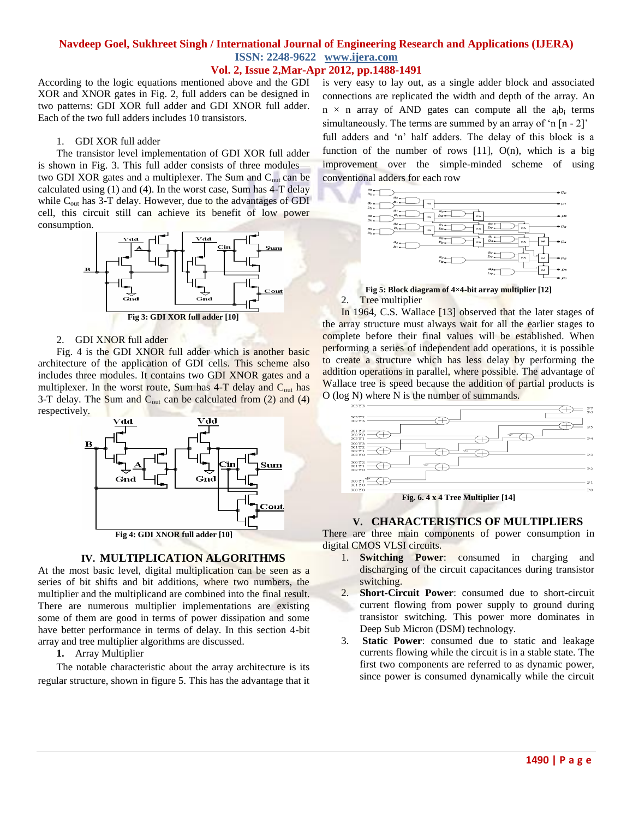According to the logic equations mentioned above and the GDI XOR and XNOR gates in Fig. 2, full adders can be designed in two patterns: GDI XOR full adder and GDI XNOR full adder. Each of the two full adders includes 10 transistors.

#### 1. GDI XOR full adder

The transistor level implementation of GDI XOR full adder is shown in Fig. 3. This full adder consists of three modules two GDI XOR gates and a multiplexer. The Sum and  $C<sub>out</sub>$  can be calculated using (1) and (4). In the worst case, Sum has 4-T delay while  $C_{\text{out}}$  has 3-T delay. However, due to the advantages of GDI cell, this circuit still can achieve its benefit of low power consumption.



#### 2. GDI XNOR full adder

Fig. 4 is the GDI XNOR full adder which is another basic architecture of the application of GDI cells. This scheme also includes three modules. It contains two GDI XNOR gates and a multiplexer. In the worst route, Sum has  $4-T$  delay and  $C<sub>out</sub>$  has 3-T delay. The Sum and  $C_{out}$  can be calculated from  $(2)$  and  $(4)$ respectively.



**Fig 4: GDI XNOR full adder [10]**

#### **IV. MULTIPLICATION ALGORITHMS**

At the most basic level, digital multiplication can be seen as a series of bit shifts and bit additions, where two numbers, the multiplier and the multiplicand are combined into the final result. There are numerous multiplier implementations are existing some of them are good in terms of power dissipation and some have better performance in terms of delay. In this section 4-bit array and tree multiplier algorithms are discussed.

**1.** Array Multiplier

The notable characteristic about the array architecture is its regular structure, shown in figure 5. This has the advantage that it is very easy to lay out, as a single adder block and associated connections are replicated the width and depth of the array. An  $n \times n$  array of AND gates can compute all the  $a_i b_i$  terms simultaneously. The terms are summed by an array of  $\ln \left[ n - 2 \right]$ full adders and 'n' half adders. The delay of this block is a function of the number of rows  $[11]$ ,  $O(n)$ , which is a big improvement over the simple-minded scheme of using conventional adders for each row



#### **Fig 5: Block diagram of 4×4-bit array multiplier [12]** 2. Tree multiplier

In 1964, C.S. Wallace [13] observed that the later stages of the array structure must always wait for all the earlier stages to complete before their final values will be established. When performing a series of independent add operations, it is possible to create a structure which has less delay by performing the addition operations in parallel, where possible. The advantage of Wallace tree is speed because the addition of partial products is O (log N) where N is the number of summands.



#### **V. CHARACTERISTICS OF MULTIPLIERS**

There are three main components of power consumption in digital CMOS VLSI circuits.

- 1. **Switching Power**: consumed in charging and discharging of the circuit capacitances during transistor switching.
- 2. **Short-Circuit Power**: consumed due to short-circuit current flowing from power supply to ground during transistor switching. This power more dominates in Deep Sub Micron (DSM) technology.
- 3. **Static Power**: consumed due to static and leakage currents flowing while the circuit is in a stable state. The first two components are referred to as dynamic power, since power is consumed dynamically while the circuit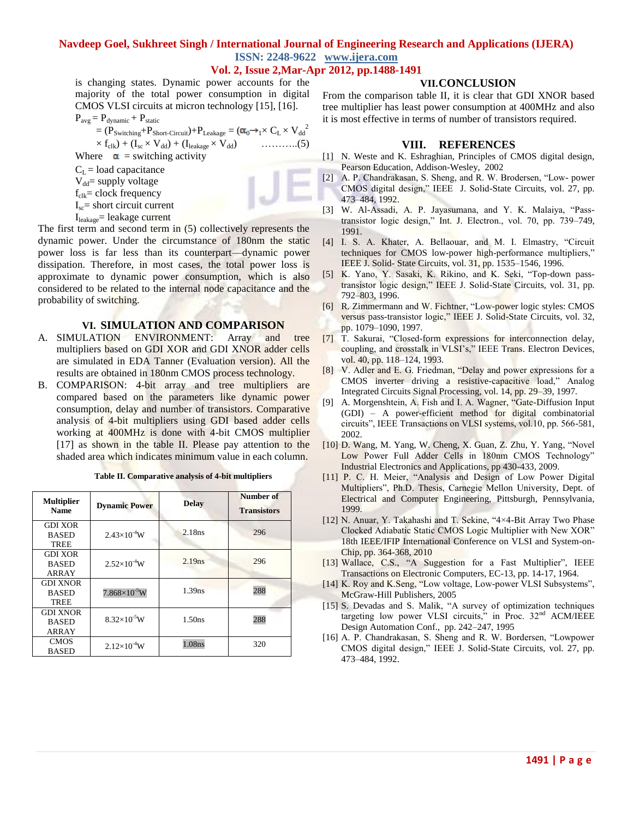is changing states. Dynamic power accounts for the majority of the total power consumption in digital CMOS VLSI circuits at micron technology [15], [16].

$$
P_{avg} = P_{dynamic} + P_{static}
$$
  
\n
$$
= (P_{Switching} + P_{Short-Circuit}) + P_{Leakage} = (\alpha_0 \rightarrow_1 \times C_L \times V_{dd}^2
$$
  
\n
$$
\times f_{clk}) + (I_{sc} \times V_{dd}) + (I_{leakage} \times V_{dd})
$$
  
\nWhere  $\alpha$  = switching activity  
\n $C_L$  = load capacitance  
\n $V_{dd}$  = supply voltage  
\n $f_{clk}$  = clock frequency  
\n $I_{sc}$  = short circuit current

 $I_{\text{leakage}}$ = leakage current

The first term and second term in (5) collectively represents the dynamic power. Under the circumstance of 180nm the static power loss is far less than its counterpart—dynamic power dissipation. Therefore, in most cases, the total power loss is approximate to dynamic power consumption, which is also considered to be related to the internal node capacitance and the probability of switching.

#### **VI. SIMULATION AND COMPARISON**

- A. SIMULATION ENVIRONMENT: Array and tree multipliers based on GDI XOR and GDI XNOR adder cells are simulated in EDA Tanner (Evaluation version). All the results are obtained in 180nm CMOS process technology.
- B. COMPARISON: 4-bit array and tree multipliers are compared based on the parameters like dynamic power consumption, delay and number of transistors. Comparative analysis of 4-bit multipliers using GDI based adder cells working at 400MHz is done with 4-bit CMOS multiplier [17] as shown in the table II. Please pay attention to the shaded area which indicates minimum value in each column.

| <b>Multiplier</b><br><b>Name</b>               | <b>Dynamic Power</b>  | <b>Delay</b>       | Number of<br><b>Transistors</b> |
|------------------------------------------------|-----------------------|--------------------|---------------------------------|
| <b>GDI XOR</b><br><b>BASED</b><br>TREE         | $2.43\times10^{-4}$ W | 2.18ns             | 296                             |
| <b>GDI XOR</b><br><b>BASED</b><br>ARRAY        | $2.52\times10^{-4}W$  | 2.19 <sub>ns</sub> | 296                             |
| <b>GDI XNOR</b><br><b>BASED</b><br><b>TREE</b> | $7.868\times10^{-5}W$ | 1.39 <sub>ns</sub> | 288                             |
| <b>GDI XNOR</b><br><b>BASED</b><br>ARRAY       | $8.32\times10^{-5}$ W | 1.50 <sub>ns</sub> | 288                             |
| <b>CMOS</b><br><b>BASED</b>                    | $2.12\times10^{-4}$ W | 1.08ns             | 320                             |

**Table II. Comparative analysis of 4-bit multipliers**

#### **VII.CONCLUSION**

From the comparison table II, it is clear that GDI XNOR based tree multiplier has least power consumption at 400MHz and also it is most effective in terms of number of transistors required.

#### **VIII. REFERENCES**

- [1] N. Weste and K. Eshraghian, Principles of CMOS digital design, Pearson Education, Addison-Wesley, 2002
- [2] A. P. Chandrakasan, S. Sheng, and R. W. Brodersen, "Low- power CMOS digital design," IEEE J. Solid-State Circuits, vol. 27, pp. 473–484, 1992.
- [3] W. Al-Assadi, A. P. Jayasumana, and Y. K. Malaiya, "Passtransistor logic design," Int. J. Electron., vol. 70, pp. 739–749, 1991.
- [4] I. S. A. Khater, A. Bellaouar, and M. I. Elmastry, "Circuit techniques for CMOS low-power high-performance multipliers," IEEE J. Solid- State Circuits, vol. 31, pp. 1535–1546, 1996.
- [5] K. Yano, Y. Sasaki, K. Rikino, and K. Seki, "Top-down passtransistor logic design," IEEE J. Solid-State Circuits, vol. 31, pp. 792–803, 1996.
- [6] R. Zimmermann and W. Fichtner, "Low-power logic styles: CMOS versus pass-transistor logic," IEEE J. Solid-State Circuits, vol. 32, pp. 1079–1090, 1997.
- [7] T. Sakurai, "Closed-form expressions for interconnection delay, coupling, and crosstalk in VLSI's," IEEE Trans. Electron Devices, vol. 40, pp. 118–124, 1993.
- [8] V. Adler and E. G. Friedman, "Delay and power expressions for a CMOS inverter driving a resistive-capacitive load," Analog Integrated Circuits Signal Processing, vol. 14, pp. 29–39, 1997.
- [9] A. Morgenshtein, A. Fish and I. A. Wagner, "Gate-Diffusion Input (GDI) – A power-efficient method for digital combinatorial circuits‖, IEEE Transactions on VLSI systems, vol.10, pp. 566-581, 2002.
- [10] D. Wang, M. Yang, W. Cheng, X. Guan, Z. Zhu, Y. Yang, "Novel Low Power Full Adder Cells in 180nm CMOS Technology" Industrial Electronics and Applications, pp 430-433, 2009.
- [11] P. C. H. Meier, "Analysis and Design of Low Power Digital Multipliers", Ph.D. Thesis, Carnegie Mellon University, Dept. of Electrical and Computer Engineering, Pittsburgh, Pennsylvania, 1999.
- [12] N. Anuar, Y. Takahashi and T. Sekine, "4×4-Bit Array Two Phase Clocked Adiabatic Static CMOS Logic Multiplier with New XOR" 18th IEEE/IFIP International Conference on VLSI and System-on-Chip, pp. 364-368, 2010
- [13] Wallace, C.S., "A Suggestion for a Fast Multiplier", IEEE Transactions on Electronic Computers, EC-13, pp. 14-17, 1964.
- [14] K. Roy and K.Seng, "Low voltage, Low-power VLSI Subsystems", McGraw-Hill Publishers, 2005
- [15] S. Devadas and S. Malik, "A survey of optimization techniques targeting low power VLSI circuits," in Proc.  $32<sup>nd</sup>$  ACM/IEEE Design Automation Conf., pp. 242–247, 1995
- [16] A. P. Chandrakasan, S. Sheng and R. W. Bordersen, "Lowpower CMOS digital design," IEEE J. Solid-State Circuits, vol. 27, pp. 473–484, 1992.